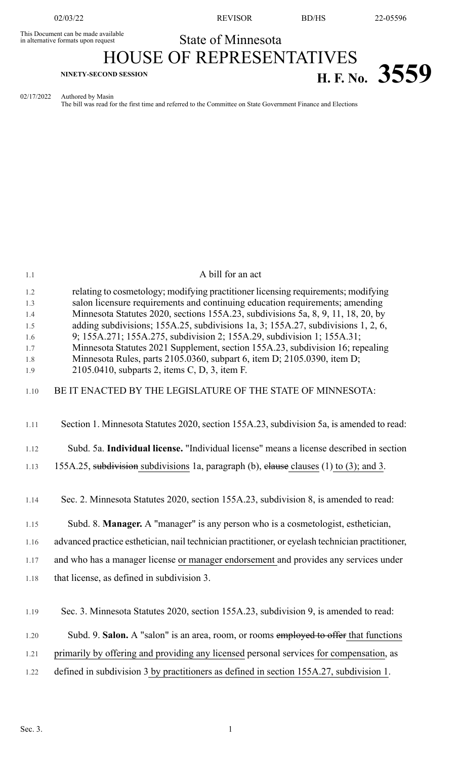This Document can be made available<br>in alternative formats upon request

02/03/22 REVISOR BD/HS 22-05596

# State of Minnesota HOUSE OF REPRESENTATIVES **H. F.** No. 3559

02/17/2022 Authored by Masin

The bill was read for the first time and referred to the Committee on State Government Finance and Elections

| 1.1        | A bill for an act                                                                                                                                                    |
|------------|----------------------------------------------------------------------------------------------------------------------------------------------------------------------|
| 1.2<br>1.3 | relating to cosmetology; modifying practitioner licensing requirements; modifying<br>salon licensure requirements and continuing education requirements; amending    |
| 1.4<br>1.5 | Minnesota Statutes 2020, sections 155A.23, subdivisions 5a, 8, 9, 11, 18, 20, by<br>adding subdivisions; 155A.25, subdivisions 1a, 3; 155A.27, subdivisions 1, 2, 6, |
| 1.6        | 9; 155A.271; 155A.275, subdivision 2; 155A.29, subdivision 1; 155A.31;                                                                                               |
| 1.7<br>1.8 | Minnesota Statutes 2021 Supplement, section 155A.23, subdivision 16; repealing<br>Minnesota Rules, parts 2105.0360, subpart 6, item D; 2105.0390, item D;            |
| 1.9        | 2105.0410, subparts 2, items C, D, 3, item F.                                                                                                                        |
| 1.10       | BE IT ENACTED BY THE LEGISLATURE OF THE STATE OF MINNESOTA:                                                                                                          |
|            |                                                                                                                                                                      |
| 1.11       | Section 1. Minnesota Statutes 2020, section 155A.23, subdivision 5a, is amended to read:                                                                             |
| 1.12       | Subd. 5a. Individual license. "Individual license" means a license described in section                                                                              |
| 1.13       | 155A.25, subdivision subdivisions 1a, paragraph (b), elause clauses (1) to (3); and 3.                                                                               |
|            |                                                                                                                                                                      |
| 1.14       | Sec. 2. Minnesota Statutes 2020, section 155A.23, subdivision 8, is amended to read:                                                                                 |
| 1.15       | Subd. 8. Manager. A "manager" is any person who is a cosmetologist, esthetician,                                                                                     |
| 1.16       | advanced practice esthetician, nail technician practitioner, or eyelash technician practitioner,                                                                     |
| 1.17       | and who has a manager license or manager endorsement and provides any services under                                                                                 |
| 1.18       | that license, as defined in subdivision 3.                                                                                                                           |
|            |                                                                                                                                                                      |
| 1.19       | Sec. 3. Minnesota Statutes 2020, section 155A.23, subdivision 9, is amended to read:                                                                                 |
| 1.20       | Subd. 9. Salon. A "salon" is an area, room, or rooms employed to offer that functions                                                                                |
| 1.21       | primarily by offering and providing any licensed personal services for compensation, as                                                                              |
| 1.22       | defined in subdivision 3 by practitioners as defined in section 155A.27, subdivision 1.                                                                              |
|            |                                                                                                                                                                      |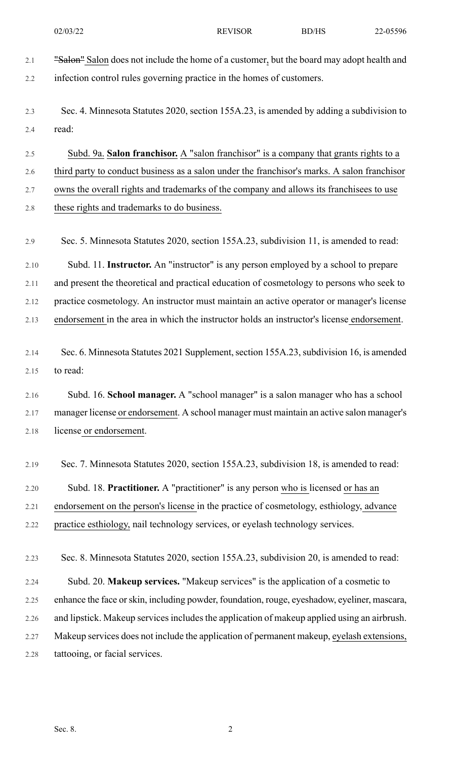- 02/03/22 REVISOR BD/HS 22-05596
- 2.1 "Salon" Salon does not include the home of a customer, but the board may adopt health and 2.2 infection control rules governing practice in the homes of customers. 2.3 Sec. 4. Minnesota Statutes 2020, section 155A.23, is amended by adding a subdivision to 2.4 read: 2.5 Subd. 9a. **Salon franchisor.** A "salon franchisor" is a company that grants rights to a 2.6 third party to conduct business as a salon under the franchisor's marks. A salon franchisor 2.7 owns the overall rights and trademarks of the company and allows its franchisees to use 2.8 these rights and trademarks to do business. 2.9 Sec. 5. Minnesota Statutes 2020, section 155A.23, subdivision 11, is amended to read: 2.10 Subd. 11. **Instructor.** An "instructor" is any person employed by a school to prepare 2.11 and present the theoretical and practical education of cosmetology to persons who seek to 2.12 practice cosmetology. An instructor must maintain an active operator or manager's license 2.13 endorsement in the area in which the instructor holds an instructor's license endorsement. 2.14 Sec. 6. Minnesota Statutes 2021 Supplement, section 155A.23, subdivision 16, is amended 2.15 to read: 2.16 Subd. 16. **School manager.** A "school manager" is a salon manager who has a school 2.17 manager license or endorsement. A school manager must maintain an active salon manager's 2.18 license or endorsement. 2.19 Sec. 7. Minnesota Statutes 2020, section 155A.23, subdivision 18, is amended to read: 2.20 Subd. 18. **Practitioner.** A "practitioner" is any person who is licensed or has an 2.21 endorsement on the person's license in the practice of cosmetology, esthiology, advance 2.22 practice esthiology, nail technology services, or eyelash technology services. 2.23 Sec. 8. Minnesota Statutes 2020, section 155A.23, subdivision 20, is amended to read: 2.24 Subd. 20. **Makeup services.** "Makeup services" is the application of a cosmetic to 2.25 enhance the face orskin, including powder, foundation, rouge, eyeshadow, eyeliner, mascara, 2.26 and lipstick. Makeup services includes the application of makeup applied using an airbrush. 2.27 Makeup services does not include the application of permanent makeup, eyelash extensions, 2.28 tattooing, or facial services.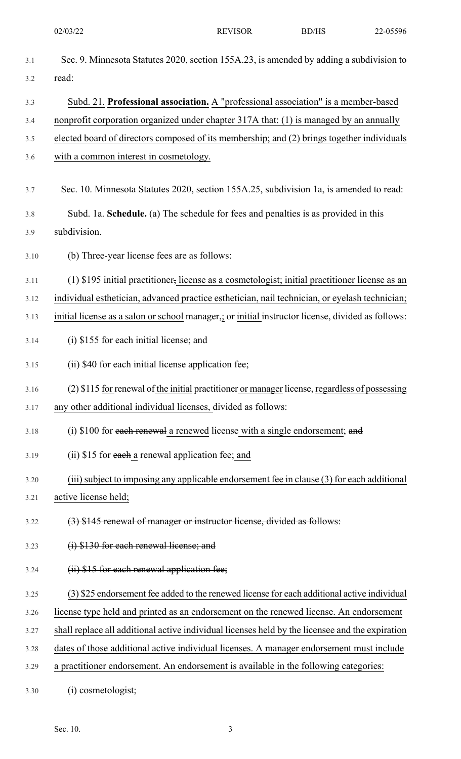| 3.1  | Sec. 9. Minnesota Statutes 2020, section 155A.23, is amended by adding a subdivision to           |
|------|---------------------------------------------------------------------------------------------------|
| 3.2  | read:                                                                                             |
| 3.3  | Subd. 21. Professional association. A "professional association" is a member-based                |
| 3.4  | nonprofit corporation organized under chapter 317A that: (1) is managed by an annually            |
| 3.5  | elected board of directors composed of its membership; and (2) brings together individuals        |
| 3.6  | with a common interest in cosmetology.                                                            |
| 3.7  | Sec. 10. Minnesota Statutes 2020, section 155A.25, subdivision 1a, is amended to read:            |
| 3.8  | Subd. 1a. Schedule. (a) The schedule for fees and penalties is as provided in this                |
| 3.9  | subdivision.                                                                                      |
| 3.10 | (b) Three-year license fees are as follows:                                                       |
| 3.11 | (1) \$195 initial practitioner, license as a cosmetologist; initial practitioner license as an    |
| 3.12 | individual esthetician, advanced practice esthetician, nail technician, or eyelash technician;    |
| 3.13 | initial license as a salon or school manager,; or initial instructor license, divided as follows: |
| 3.14 | (i) \$155 for each initial license; and                                                           |
| 3.15 | (ii) \$40 for each initial license application fee;                                               |
| 3.16 | (2) \$115 for renewal of the initial practitioner or manager license, regardless of possessing    |
| 3.17 | any other additional individual licenses, divided as follows:                                     |
| 3.18 | (i) $$100$ for each renewal a renewed license with a single endorsement; and                      |
| 3.19 | (ii) \$15 for each a renewal application fee; and                                                 |
| 3.20 | (iii) subject to imposing any applicable endorsement fee in clause (3) for each additional        |
| 3.21 | active license held;                                                                              |
| 3.22 | (3) \$145 renewal of manager or instructor license, divided as follows:                           |
| 3.23 | (i) \$130 for each renewal license; and                                                           |
| 3.24 | (ii) \$15 for each renewal application fee;                                                       |
| 3.25 | (3) \$25 endorsement fee added to the renewed license for each additional active individual       |
| 3.26 | license type held and printed as an endorsement on the renewed license. An endorsement            |
| 3.27 | shall replace all additional active individual licenses held by the licensee and the expiration   |
| 3.28 | dates of those additional active individual licenses. A manager endorsement must include          |
| 3.29 | a practitioner endorsement. An endorsement is available in the following categories:              |
| 3.30 | cosmetologist;                                                                                    |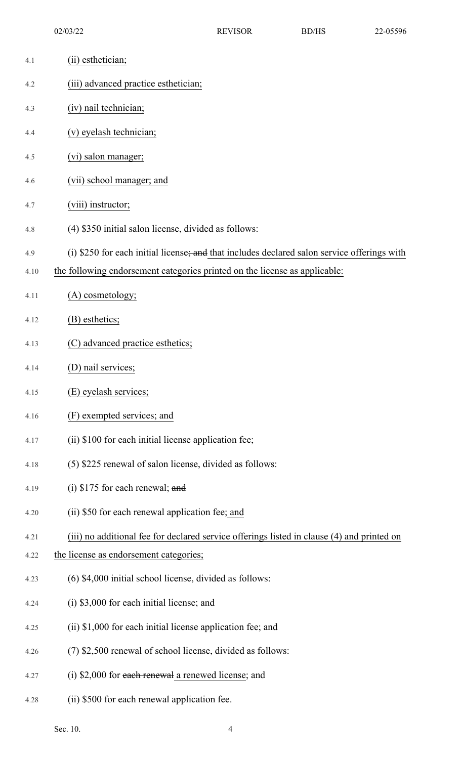| 4.1  | (ii) esthetician;                                                                           |
|------|---------------------------------------------------------------------------------------------|
| 4.2  | (iii) advanced practice esthetician;                                                        |
| 4.3  | (iv) nail technician;                                                                       |
| 4.4  | (v) eyelash technician;                                                                     |
| 4.5  | (vi) salon manager;                                                                         |
| 4.6  | (vii) school manager; and                                                                   |
| 4.7  | (viii) instructor;                                                                          |
| 4.8  | (4) \$350 initial salon license, divided as follows:                                        |
| 4.9  | (i) \$250 for each initial license; and that includes declared salon service offerings with |
| 4.10 | the following endorsement categories printed on the license as applicable:                  |
| 4.11 | (A) cosmetology;                                                                            |
| 4.12 | (B) esthetics;                                                                              |
| 4.13 | (C) advanced practice esthetics;                                                            |
| 4.14 | (D) nail services;                                                                          |
| 4.15 | (E) eyelash services;                                                                       |
| 4.16 | (F) exempted services; and                                                                  |
| 4.17 | (ii) \$100 for each initial license application fee;                                        |
| 4.18 | (5) \$225 renewal of salon license, divided as follows:                                     |
| 4.19 | (i) $$175$ for each renewal; and                                                            |
| 4.20 | (ii) \$50 for each renewal application fee; and                                             |
| 4.21 | (iii) no additional fee for declared service offerings listed in clause (4) and printed on  |
| 4.22 | the license as endorsement categories;                                                      |
| 4.23 | (6) \$4,000 initial school license, divided as follows:                                     |
| 4.24 | (i) \$3,000 for each initial license; and                                                   |
| 4.25 | (ii) \$1,000 for each initial license application fee; and                                  |
| 4.26 | (7) \$2,500 renewal of school license, divided as follows:                                  |
| 4.27 | (i) $$2,000$ for each renewal a renewed license; and                                        |
| 4.28 | (ii) \$500 for each renewal application fee.                                                |

Sec. 10. 4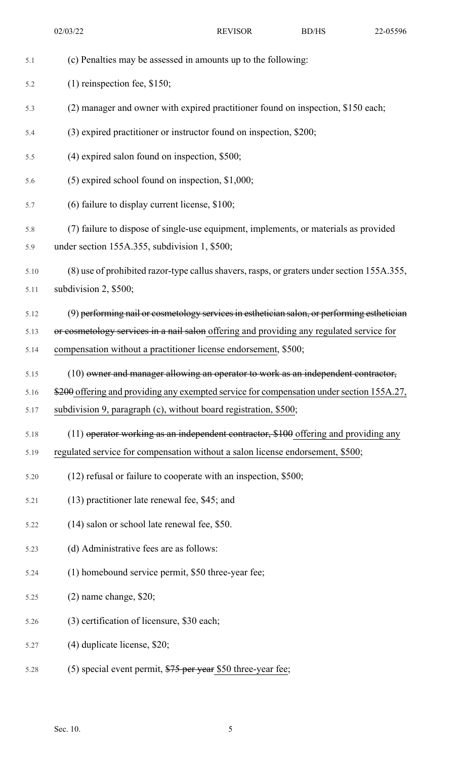02/03/22 REVISOR BD/HS 22-05596

| 5.1  | (c) Penalties may be assessed in amounts up to the following:                               |
|------|---------------------------------------------------------------------------------------------|
| 5.2  | $(1)$ reinspection fee, \$150;                                                              |
| 5.3  | (2) manager and owner with expired practitioner found on inspection, \$150 each;            |
| 5.4  | (3) expired practitioner or instructor found on inspection, \$200;                          |
| 5.5  | $(4)$ expired salon found on inspection, \$500;                                             |
| 5.6  | $(5)$ expired school found on inspection, \$1,000;                                          |
| 5.7  | (6) failure to display current license, \$100;                                              |
| 5.8  | (7) failure to dispose of single-use equipment, implements, or materials as provided        |
| 5.9  | under section 155A.355, subdivision 1, \$500;                                               |
| 5.10 | (8) use of prohibited razor-type callus shavers, rasps, or graters under section 155A.355,  |
| 5.11 | subdivision 2, \$500;                                                                       |
| 5.12 | (9) performing nail or cosmetology services in esthetician salon, or performing esthetician |
| 5.13 | or cosmetology services in a nail salon offering and providing any regulated service for    |
| 5.14 | compensation without a practitioner license endorsement, \$500;                             |
| 5.15 | (10) owner and manager allowing an operator to work as an independent contractor,           |
| 5.16 | \$200 offering and providing any exempted service for compensation under section 155A.27,   |
| 5.17 | subdivision 9, paragraph (c), without board registration, \$500;                            |
| 5.18 | $(11)$ operator working as an independent contractor, \$100 offering and providing any      |
| 5.19 | regulated service for compensation without a salon license endorsement, \$500;              |
| 5.20 | $(12)$ refusal or failure to cooperate with an inspection, \$500;                           |
| 5.21 | (13) practitioner late renewal fee, \$45; and                                               |
| 5.22 | (14) salon or school late renewal fee, \$50.                                                |
| 5.23 | (d) Administrative fees are as follows:                                                     |
| 5.24 | (1) homebound service permit, \$50 three-year fee;                                          |
| 5.25 | $(2)$ name change, \$20;                                                                    |
| 5.26 | (3) certification of licensure, \$30 each;                                                  |
| 5.27 | $(4)$ duplicate license, \$20;                                                              |
| 5.28 | (5) special event permit, $$75$ per year \$50 three-year fee;                               |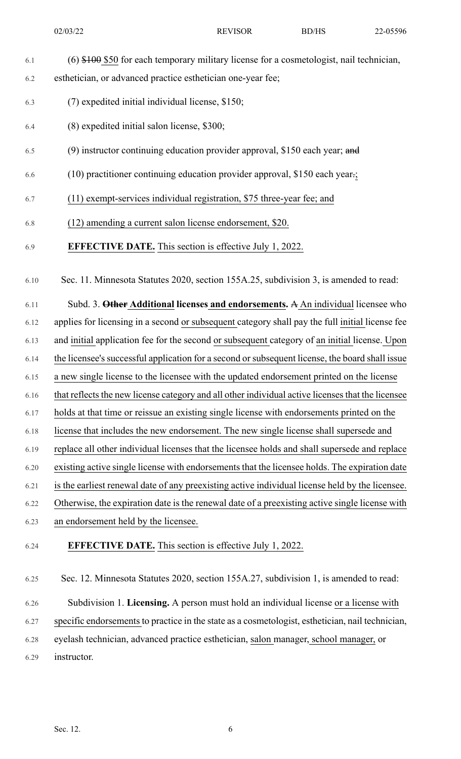6.1 (6) \$100 \$50 for each temporary military license for a cosmetologist, nail technician,

6.2 esthetician, or advanced practice esthetician one-year fee;

6.3 (7) expedited initial individual license, \$150;

6.4 (8) expedited initial salon license, \$300;

- 6.5 (9) instructor continuing education provider approval, \$150 each year; and
- 6.6 (10) practitioner continuing education provider approval, \$150 each year.;
- 6.7 (11) exempt-services individual registration, \$75 three-year fee; and
- 6.8 (12) amending a current salon license endorsement, \$20.
- 6.9 **EFFECTIVE DATE.** This section is effective July 1, 2022.

6.10 Sec. 11. Minnesota Statutes 2020, section 155A.25, subdivision 3, is amended to read:

6.11 Subd. 3. **Other Additional licenses and endorsements.** A An individual licensee who 6.12 applies for licensing in a second or subsequent category shall pay the full initial license fee 6.13 and initial application fee for the second or subsequent category of an initial license. Upon 6.14 the licensee's successful application for a second or subsequent license, the board shall issue 6.15 a new single license to the licensee with the updated endorsement printed on the license 6.16 that reflects the new license category and all other individual active licenses that the licensee 6.17 holds at that time or reissue an existing single license with endorsements printed on the 6.18 license that includes the new endorsement. The new single license shall supersede and 6.19 replace all other individual licenses that the licensee holds and shall supersede and replace 6.20 existing active single license with endorsements that the licensee holds. The expiration date 6.21 is the earliest renewal date of any preexisting active individual license held by the licensee. 6.22 Otherwise, the expiration date is the renewal date of a preexisting active single license with 6.23 an endorsement held by the licensee. 6.24 **EFFECTIVE DATE.** This section is effective July 1, 2022.

6.25 Sec. 12. Minnesota Statutes 2020, section 155A.27, subdivision 1, is amended to read: 6.26 Subdivision 1. **Licensing.** A person must hold an individual license or a license with 6.27 specific endorsements to practice in the state as a cosmetologist, esthetician, nail technician, 6.28 eyelash technician, advanced practice esthetician, salon manager, school manager, or 6.29 instructor.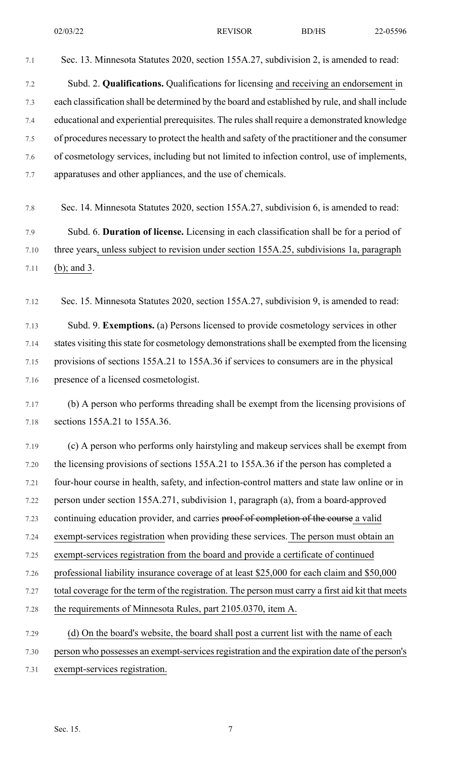- 7.1 Sec. 13. Minnesota Statutes 2020, section 155A.27, subdivision 2, is amended to read: 7.2 Subd. 2. **Qualifications.** Qualifications for licensing and receiving an endorsement in
- 7.3 each classification shall be determined by the board and established by rule, and shall include 7.4 educational and experiential prerequisites. The rulesshall require a demonstrated knowledge 7.5 of procedures necessary to protect the health and safety of the practitioner and the consumer 7.6 of cosmetology services, including but not limited to infection control, use of implements, 7.7 apparatuses and other appliances, and the use of chemicals.
- 7.8 Sec. 14. Minnesota Statutes 2020, section 155A.27, subdivision 6, is amended to read:

7.9 Subd. 6. **Duration of license.** Licensing in each classification shall be for a period of 7.10 three years, unless subject to revision under section 155A.25, subdivisions 1a, paragraph 7.11 (b); and 3.

7.12 Sec. 15. Minnesota Statutes 2020, section 155A.27, subdivision 9, is amended to read:

7.13 Subd. 9. **Exemptions.** (a) Persons licensed to provide cosmetology services in other 7.14 states visiting this state for cosmetology demonstrations shall be exempted from the licensing 7.15 provisions of sections 155A.21 to 155A.36 if services to consumers are in the physical 7.16 presence of a licensed cosmetologist.

7.17 (b) A person who performs threading shall be exempt from the licensing provisions of 7.18 sections 155A.21 to 155A.36.

7.19 (c) A person who performs only hairstyling and makeup services shall be exempt from 7.20 the licensing provisions of sections 155A.21 to 155A.36 if the person has completed a 7.21 four-hour course in health, safety, and infection-control matters and state law online or in 7.22 person under section 155A.271, subdivision 1, paragraph (a), from a board-approved 7.23 continuing education provider, and carries proof of completion of the course a valid 7.24 exempt-services registration when providing these services. The person must obtain an 7.25 exempt-services registration from the board and provide a certificate of continued 7.26 professional liability insurance coverage of at least \$25,000 for each claim and \$50,000 7.27 total coverage for the term of the registration. The person must carry a first aid kit that meets 7.28 the requirements of Minnesota Rules, part 2105.0370, item A. 7.29 (d) On the board's website, the board shall post a current list with the name of each 7.30 person who possesses an exempt-services registration and the expiration date of the person's

7.31 exempt-services registration.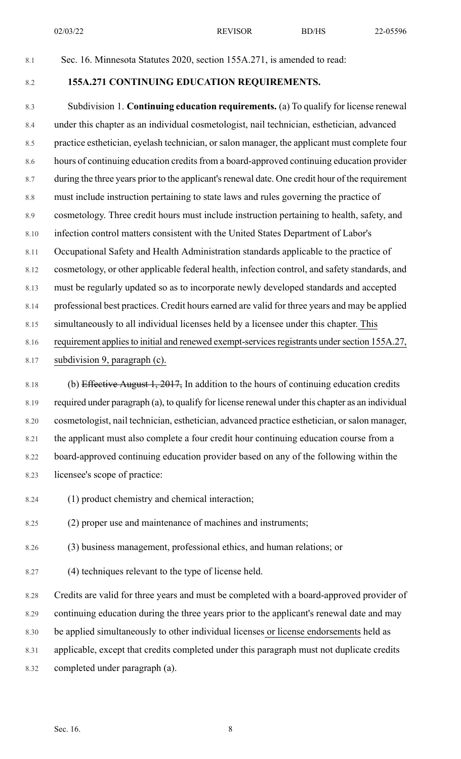02/03/22 REVISOR BD/HS 22-05596

## 8.1 Sec. 16. Minnesota Statutes 2020, section 155A.271, is amended to read:

### 8.2 **155A.271 CONTINUING EDUCATION REQUIREMENTS.**

8.3 Subdivision 1. **Continuing education requirements.** (a) To qualify for license renewal 8.4 under this chapter as an individual cosmetologist, nail technician, esthetician, advanced 8.5 practice esthetician, eyelash technician, or salon manager, the applicant must complete four 8.6 hours of continuing education credits from a board-approved continuing education provider 8.7 during the three years prior to the applicant's renewal date. One credit hour of the requirement 8.8 must include instruction pertaining to state laws and rules governing the practice of 8.9 cosmetology. Three credit hours must include instruction pertaining to health, safety, and 8.10 infection control matters consistent with the United States Department of Labor's 8.11 Occupational Safety and Health Administration standards applicable to the practice of 8.12 cosmetology, or other applicable federal health, infection control, and safety standards, and 8.13 must be regularly updated so as to incorporate newly developed standards and accepted 8.14 professional best practices. Credit hours earned are valid for three years and may be applied 8.15 simultaneously to all individual licenses held by a licensee under this chapter. This 8.16 requirement applies to initial and renewed exempt-services registrants under section 155A.27, 8.17 subdivision 9, paragraph (c).

8.18 (b) Effective August 1, 2017, In addition to the hours of continuing education credits 8.19 required under paragraph (a), to qualify for license renewal under this chapter as an individual 8.20 cosmetologist, nail technician, esthetician, advanced practice esthetician, or salon manager, 8.21 the applicant must also complete a four credit hour continuing education course from a 8.22 board-approved continuing education provider based on any of the following within the 8.23 licensee's scope of practice:

- 8.24 (1) product chemistry and chemical interaction;
- 8.25 (2) proper use and maintenance of machines and instruments;
- 8.26 (3) business management, professional ethics, and human relations; or
- 8.27 (4) techniques relevant to the type of license held.

8.28 Credits are valid for three years and must be completed with a board-approved provider of 8.29 continuing education during the three years prior to the applicant's renewal date and may

8.30 be applied simultaneously to other individual licenses or license endorsements held as

- 8.31 applicable, except that credits completed under this paragraph must not duplicate credits
- 8.32 completed under paragraph (a).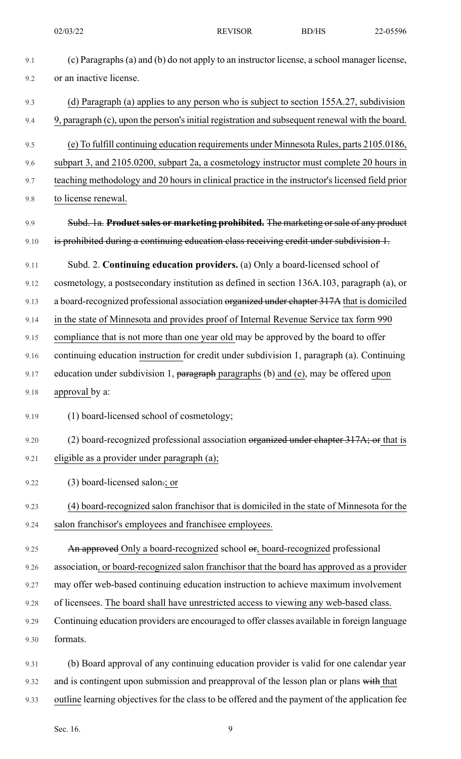02/03/22 REVISOR BD/HS 22-05596

- 9.1 (c) Paragraphs (a) and (b) do not apply to an instructor license, a school manager license, 9.2 or an inactive license. 9.3 (d) Paragraph (a) applies to any person who is subject to section 155A.27, subdivision 9.4 9, paragraph (c), upon the person'sinitial registration and subsequent renewal with the board. 9.5 (e) To fulfill continuing education requirements under Minnesota Rules, parts 2105.0186, 9.6 subpart 3, and 2105.0200, subpart 2a, a cosmetology instructor must complete 20 hours in 9.7 teaching methodology and 20 hours in clinical practice in the instructor's licensed field prior 9.8 to license renewal. 9.9 Subd. 1a. **Productsales or marketing prohibited.** The marketing orsale of any product 9.10 is prohibited during a continuing education class receiving credit under subdivision 1. 9.11 Subd. 2. **Continuing education providers.** (a) Only a board-licensed school of 9.12 cosmetology, a postsecondary institution as defined in section 136A.103, paragraph (a), or 9.13 a board-recognized professional association organized under chapter 317A that is domiciled 9.14 in the state of Minnesota and provides proof of Internal Revenue Service tax form 990 9.15 compliance that is not more than one year old may be approved by the board to offer 9.16 continuing education instruction for credit under subdivision 1, paragraph (a). Continuing 9.17 education under subdivision 1, paragraph paragraphs (b) and (e), may be offered upon 9.18 approval by a: 9.19 (1) board-licensed school of cosmetology; 9.20 (2) board-recognized professional association organized under chapter 317A; or that is 9.21 eligible as a provider under paragraph (a); 9.22 (3) board-licensed salon.; or 9.23 (4) board-recognized salon franchisor that is domiciled in the state of Minnesota for the 9.24 salon franchisor's employees and franchisee employees. 9.25 An approved Only a board-recognized school or, board-recognized professional 9.26 association, or board-recognized salon franchisor that the board has approved as a provider 9.27 may offer web-based continuing education instruction to achieve maximum involvement 9.28 of licensees. The board shall have unrestricted access to viewing any web-based class. 9.29 Continuing education providers are encouraged to offer classes available in foreign language
- 9.30 formats.
- 9.31 (b) Board approval of any continuing education provider is valid for one calendar year 9.32 and is contingent upon submission and preapproval of the lesson plan or plans with that 9.33 outline learning objectives for the class to be offered and the payment of the application fee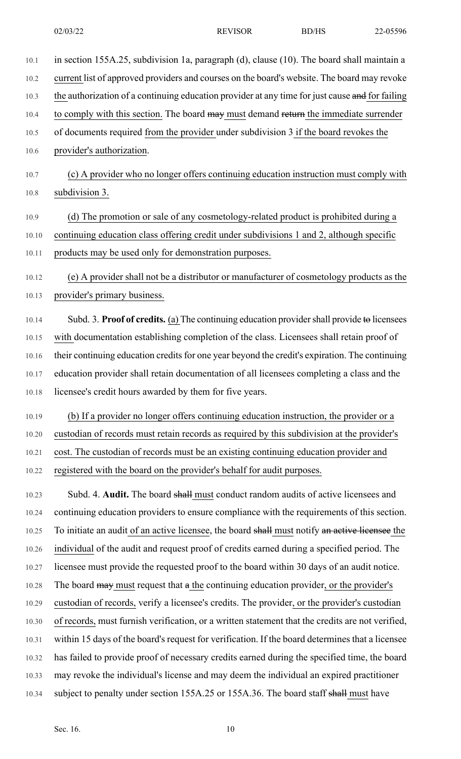10.1 in section 155A.25, subdivision 1a, paragraph (d), clause (10). The board shall maintain a

10.2 current list of approved providers and courses on the board's website. The board may revoke

10.3 the authorization of a continuing education provider at any time for just cause and for failing 10.4 to comply with this section. The board may must demand return the immediate surrender 10.5 of documents required from the provider under subdivision 3 if the board revokes the 10.6 provider's authorization. 10.7 (c) A provider who no longer offers continuing education instruction must comply with 10.8 subdivision 3. 10.9 (d) The promotion or sale of any cosmetology-related product is prohibited during a 10.10 continuing education class offering credit under subdivisions 1 and 2, although specific 10.11 products may be used only for demonstration purposes. 10.12 (e) A provider shall not be a distributor or manufacturer of cosmetology products as the 10.13 provider's primary business. 10.14 Subd. 3. **Proof of credits.** (a) The continuing education providershall provide to licensees 10.15 with documentation establishing completion of the class. Licensees shall retain proof of 10.16 their continuing education credits for one year beyond the credit's expiration. The continuing 10.17 education provider shall retain documentation of all licensees completing a class and the 10.18 licensee's credit hours awarded by them for five years. 10.19 (b) If a provider no longer offers continuing education instruction, the provider or a 10.20 custodian of records must retain records as required by this subdivision at the provider's 10.21 cost. The custodian of records must be an existing continuing education provider and 10.22 registered with the board on the provider's behalf for audit purposes. 10.23 Subd. 4. **Audit.** The board shall must conduct random audits of active licensees and 10.24 continuing education providers to ensure compliance with the requirements of this section. 10.25 To initiate an audit of an active licensee, the board shall must notify an active licensee the 10.26 individual of the audit and request proof of credits earned during a specified period. The 10.27 licensee must provide the requested proof to the board within 30 days of an audit notice. 10.28 The board may must request that a the continuing education provider, or the provider's 10.29 custodian of records, verify a licensee's credits. The provider, or the provider's custodian 10.30 of records, must furnish verification, or a written statement that the credits are not verified, 10.31 within 15 days of the board's request for verification. If the board determines that a licensee 10.32 has failed to provide proof of necessary credits earned during the specified time, the board 10.33 may revoke the individual's license and may deem the individual an expired practitioner 10.34 subject to penalty under section 155A.25 or 155A.36. The board staff shall must have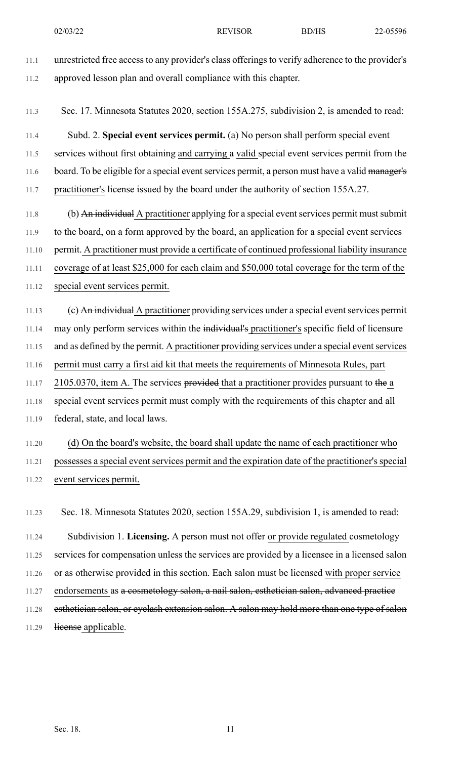11.1 unrestricted free access to any provider's class offerings to verify adherence to the provider's

11.3 Sec. 17. Minnesota Statutes 2020, section 155A.275, subdivision 2, is amended to read:

11.2 approved lesson plan and overall compliance with this chapter.

11.4 Subd. 2. **Special event services permit.** (a) No person shall perform special event 11.5 services without first obtaining and carrying a valid special event services permit from the 11.6 board. To be eligible for a special event services permit, a person must have a valid manager's 11.7 practitioner's license issued by the board under the authority of section 155A.27.

11.8 (b) An individual A practitioner applying for a special event services permit must submit 11.9 to the board, on a form approved by the board, an application for a special event services 11.10 permit. A practitioner must provide a certificate of continued professional liability insurance 11.11 coverage of at least \$25,000 for each claim and \$50,000 total coverage for the term of the 11.12 special event services permit.

11.13 (c) An individual A practitioner providing services under a special event services permit 11.14 may only perform services within the individual's practitioner's specific field of licensure 11.15 and as defined by the permit. A practitioner providing services under a special event services 11.16 permit must carry a first aid kit that meets the requirements of Minnesota Rules, part 11.17 2105.0370, item A. The services provided that a practitioner provides pursuant to the a 11.18 special event services permit must comply with the requirements of this chapter and all 11.19 federal, state, and local laws.

11.20 (d) On the board's website, the board shall update the name of each practitioner who 11.21 possesses a special event services permit and the expiration date of the practitioner's special 11.22 event services permit.

11.23 Sec. 18. Minnesota Statutes 2020, section 155A.29, subdivision 1, is amended to read: 11.24 Subdivision 1. **Licensing.** A person must not offer or provide regulated cosmetology 11.25 services for compensation unless the services are provided by a licensee in a licensed salon 11.26 or as otherwise provided in this section. Each salon must be licensed with proper service 11.27 endorsements as a cosmetology salon, a nail salon, esthetician salon, advanced practice 11.28 esthetician salon, or eyelash extension salon. A salon may hold more than one type of salon 11.29 license applicable.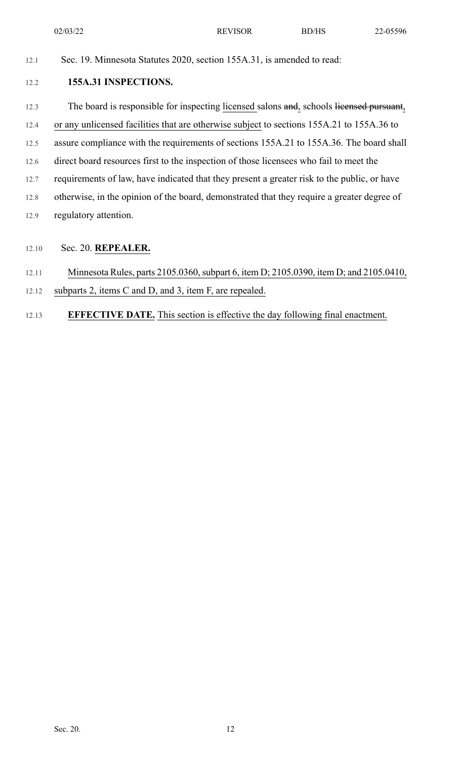02/03/22 REVISOR BD/HS 22-05596

12.1 Sec. 19. Minnesota Statutes 2020, section 155A.31, is amended to read:

#### 12.2 **155A.31 INSPECTIONS.**

12.3 The board is responsible for inspecting licensed salons and, schools licensed pursuant,

12.4 or any unlicensed facilities that are otherwise subject to sections 155A.21 to 155A.36 to

- 12.5 assure compliance with the requirements of sections 155A.21 to 155A.36. The board shall
- 12.6 direct board resources first to the inspection of those licensees who fail to meet the
- 12.7 requirements of law, have indicated that they present a greater risk to the public, or have
- 12.8 otherwise, in the opinion of the board, demonstrated that they require a greater degree of
- 12.9 regulatory attention.
- 12.10 Sec. 20. **REPEALER.**

### 12.11 Minnesota Rules, parts 2105.0360, subpart 6, item D; 2105.0390, item D; and 2105.0410,

- 12.12 subparts 2, items C and D, and 3, item F, are repealed.
- 12.13 **EFFECTIVE DATE.** This section is effective the day following final enactment.